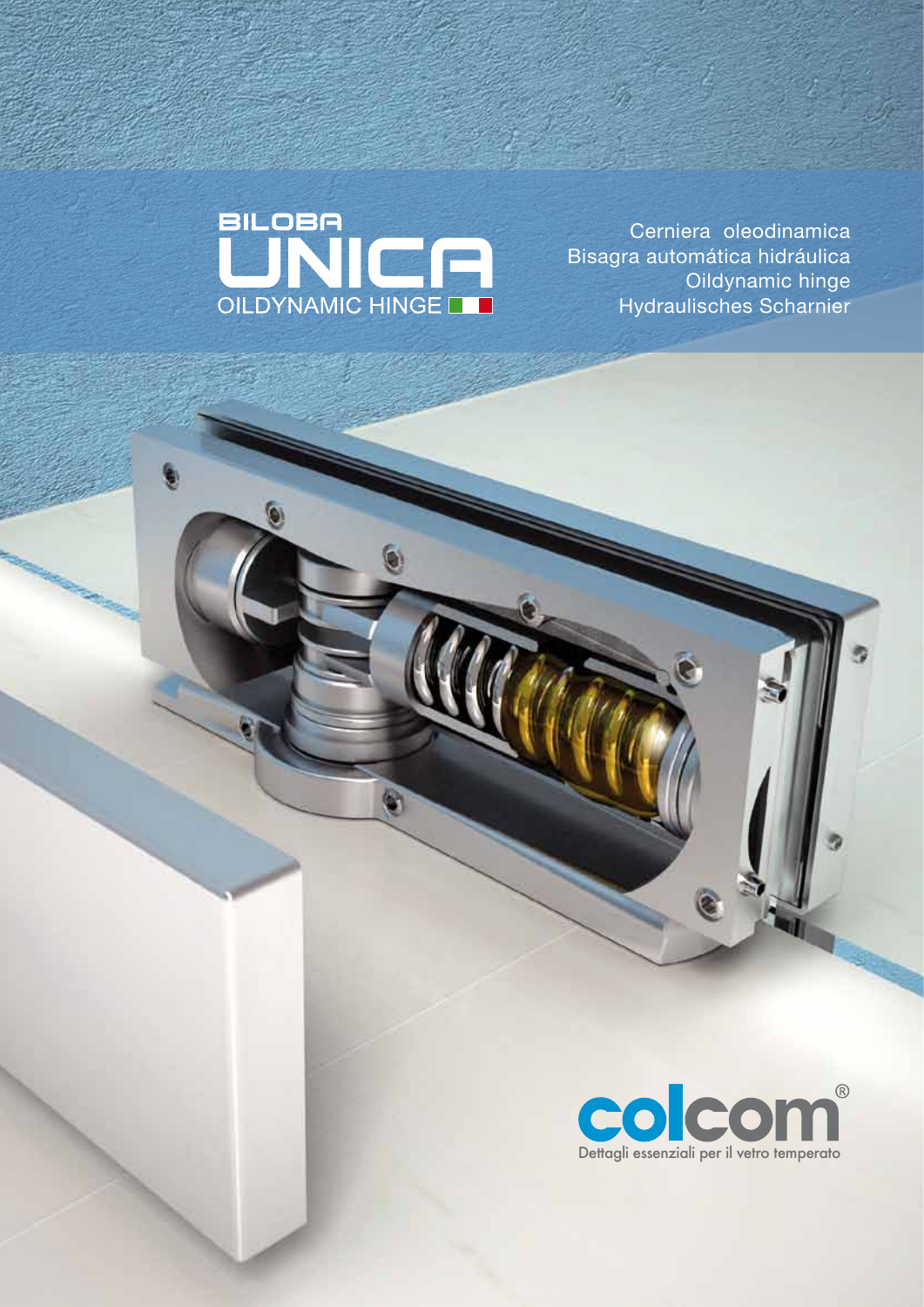

Cerniera oleodinamica Bisagra automática hidráulica Oildynamic hinge Hydraulisches Scharnier



E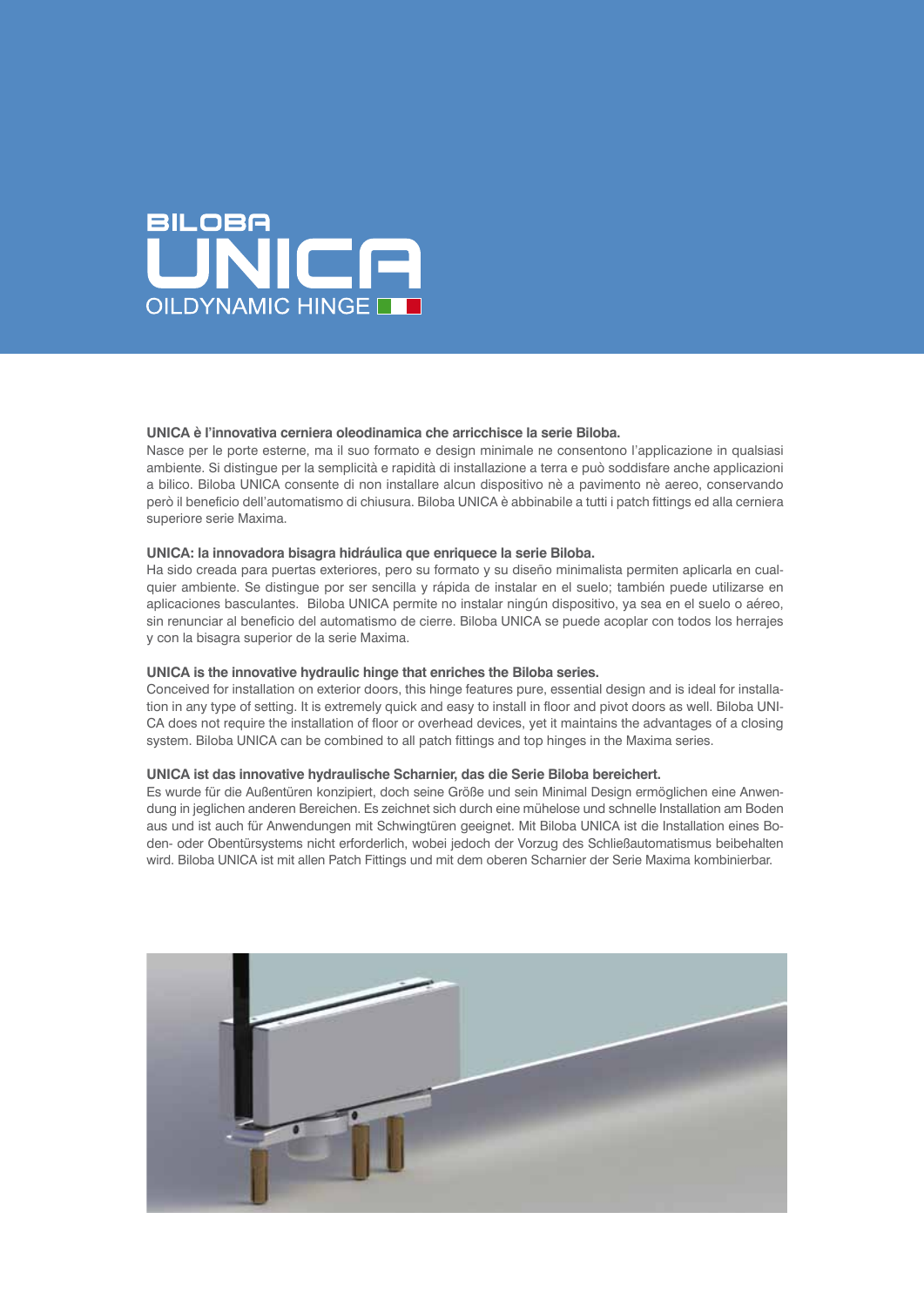# BILOBA llce OILDYNAMIC HINGE

### **UNICA è l'innovativa cerniera oleodinamica che arricchisce la serie Biloba.**

Nasce per le porte esterne, ma il suo formato e design minimale ne consentono l'applicazione in qualsiasi ambiente. Si distingue per la semplicità e rapidità di installazione a terra e può soddisfare anche applicazioni a bilico. Biloba UNICA consente di non installare alcun dispositivo nè a pavimento nè aereo, conservando però il beneficio dell'automatismo di chiusura. Biloba UNICA è abbinabile a tutti i patch fittings ed alla cerniera superiore serie Maxima.

#### **UNICA: la innovadora bisagra hidráulica que enriquece la serie Biloba.**

Ha sido creada para puertas exteriores, pero su formato y su diseño minimalista permiten aplicarla en cualquier ambiente. Se distingue por ser sencilla y rápida de instalar en el suelo; también puede utilizarse en aplicaciones basculantes. Biloba UNICA permite no instalar ningún dispositivo, ya sea en el suelo o aéreo, sin renunciar al beneficio del automatismo de cierre. Biloba UNICA se puede acoplar con todos los herrajes y con la bisagra superior de la serie Maxima.

## **UNICA is the innovative hydraulic hinge that enriches the Biloba series.**

Conceived for installation on exterior doors, this hinge features pure, essential design and is ideal for installation in any type of setting. It is extremely quick and easy to install in floor and pivot doors as well. Biloba UNI-CA does not require the installation of floor or overhead devices, yet it maintains the advantages of a closing system. Biloba UNICA can be combined to all patch fittings and top hinges in the Maxima series.

#### **UNICA ist das innovative hydraulische Scharnier, das die Serie Biloba bereichert.**

Es wurde für die Außentüren konzipiert, doch seine Größe und sein Minimal Design ermöglichen eine Anwendung in jeglichen anderen Bereichen. Es zeichnet sich durch eine mühelose und schnelle Installation am Boden aus und ist auch für Anwendungen mit Schwingtüren geeignet. Mit Biloba UNICA ist die Installation eines Boden- oder Obentürsystems nicht erforderlich, wobei jedoch der Vorzug des Schließautomatismus beibehalten wird. Biloba UNICA ist mit allen Patch Fittings und mit dem oberen Scharnier der Serie Maxima kombinierbar.

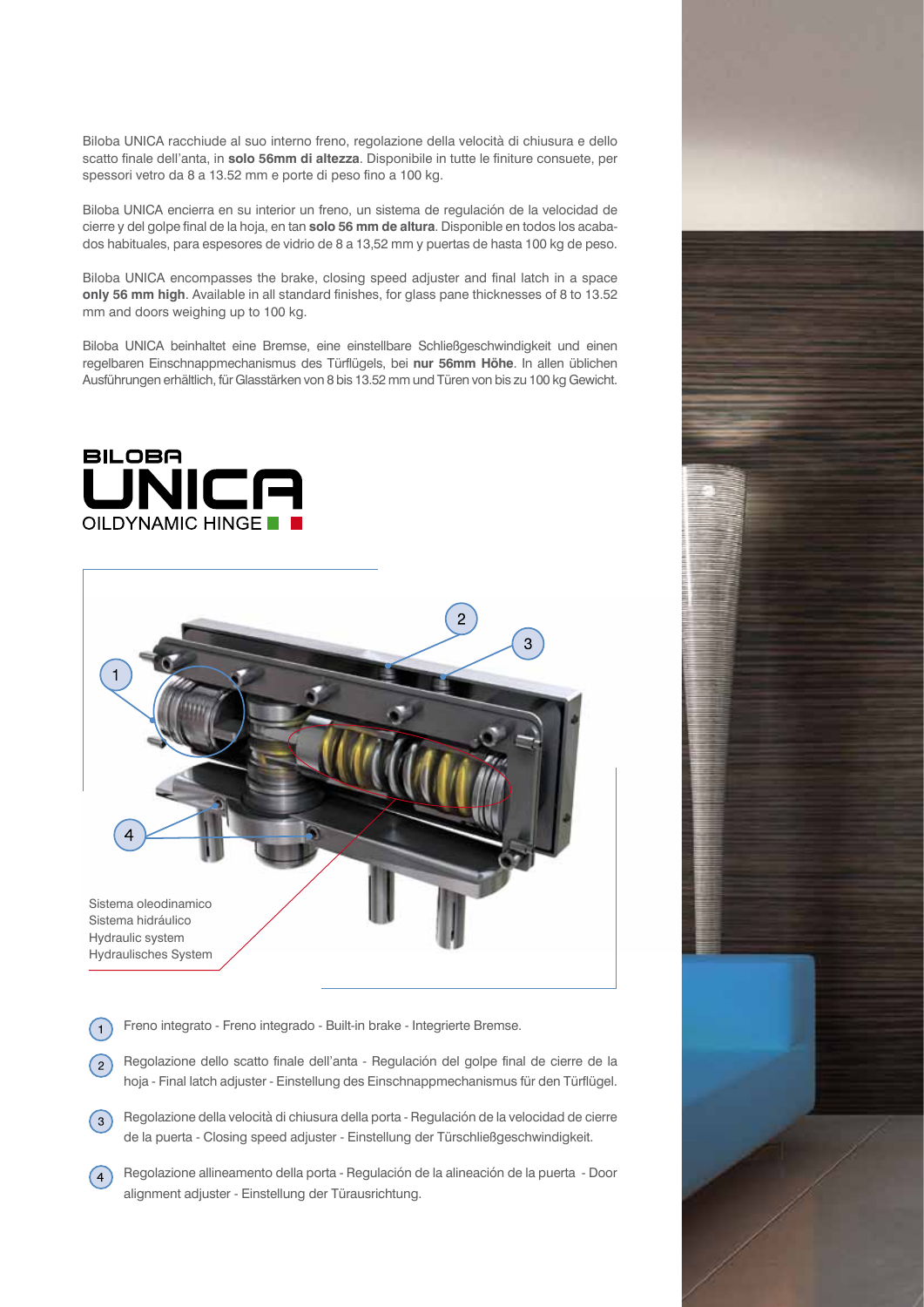Biloba UNICA racchiude al suo interno freno, regolazione della velocità di chiusura e dello scatto finale dell'anta, in **solo 56mm di altezza**. Disponibile in tutte le finiture consuete, per spessori vetro da 8 a 13.52 mm e porte di peso fino a 100 kg.

Biloba UNICA encierra en su interior un freno, un sistema de regulación de la velocidad de cierre y del golpe final de la hoja, en tan **solo 56 mm de altura**. Disponible en todos los acabados habituales, para espesores de vidrio de 8 a 13,52 mm y puertas de hasta 100 kg de peso.

Biloba UNICA encompasses the brake, closing speed adjuster and final latch in a space **only 56 mm high**. Available in all standard finishes, for glass pane thicknesses of 8 to 13.52 mm and doors weighing up to 100 kg.

Biloba UNICA beinhaltet eine Bremse, eine einstellbare Schließgeschwindigkeit und einen regelbaren Einschnappmechanismus des Türflügels, bei **nur 56mm Höhe**. In allen üblichen Ausführungen erhältlich, für Glasstärken von 8 bis 13.52 mm und Türen von bis zu 100 kg Gewicht.





- Freno integrato Freno integrado Built-in brake Integrierte Bremse.  $\left(1\right)$
- Regolazione dello scatto finale dell'anta Regulación del golpe final de cierre de la  $\left( 2\right)$ hoja - Final latch adjuster - Einstellung des Einschnappmechanismus für den Türflügel.
- Regolazione della velocità di chiusura della porta Regulación de la velocidad de cierre de la puerta - Closing speed adjuster - Einstellung der Türschließgeschwindigkeit.
- Regolazione allineamento della porta Regulación de la alineación de la puerta Door alignment adjuster - Einstellung der Türausrichtung.

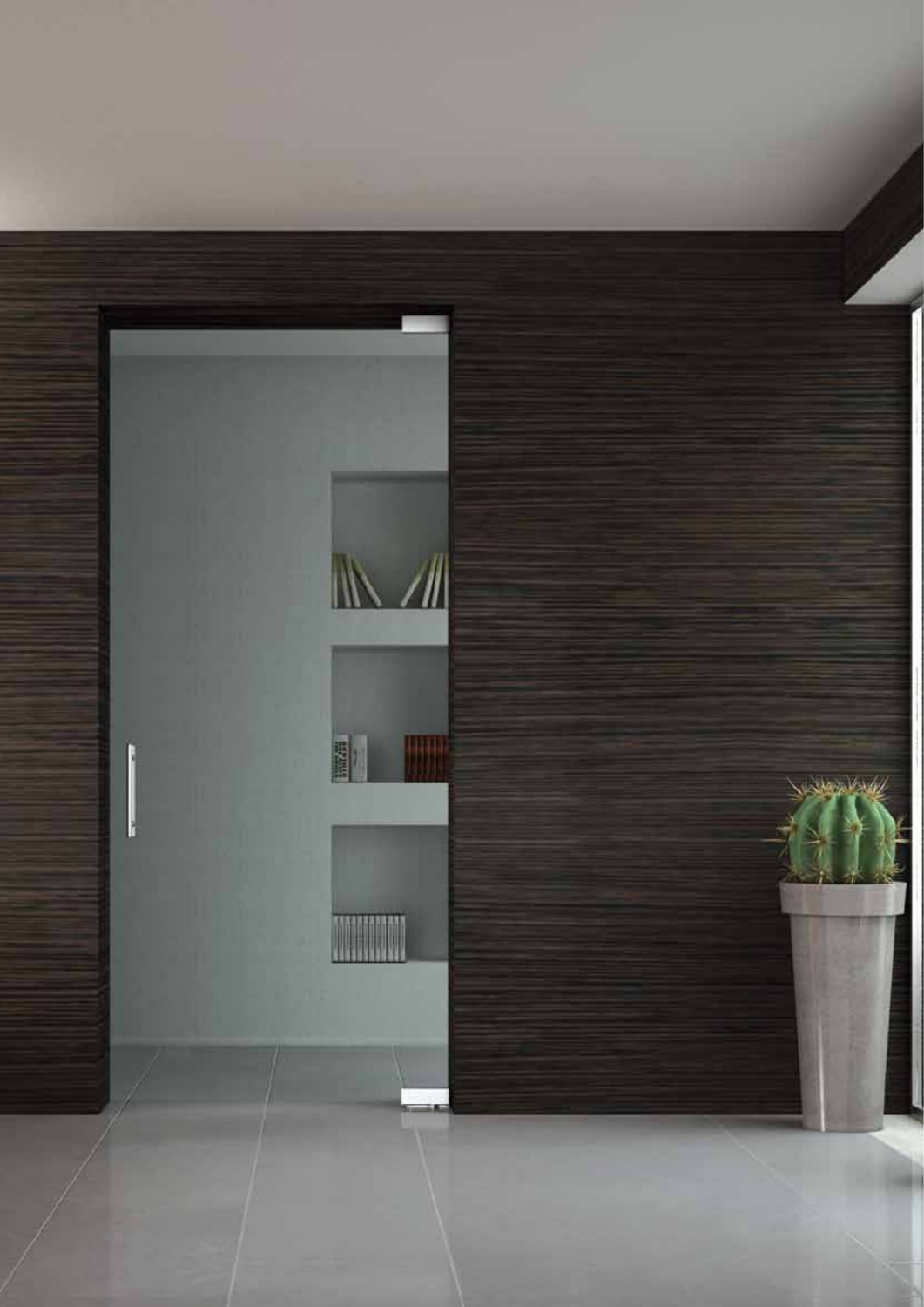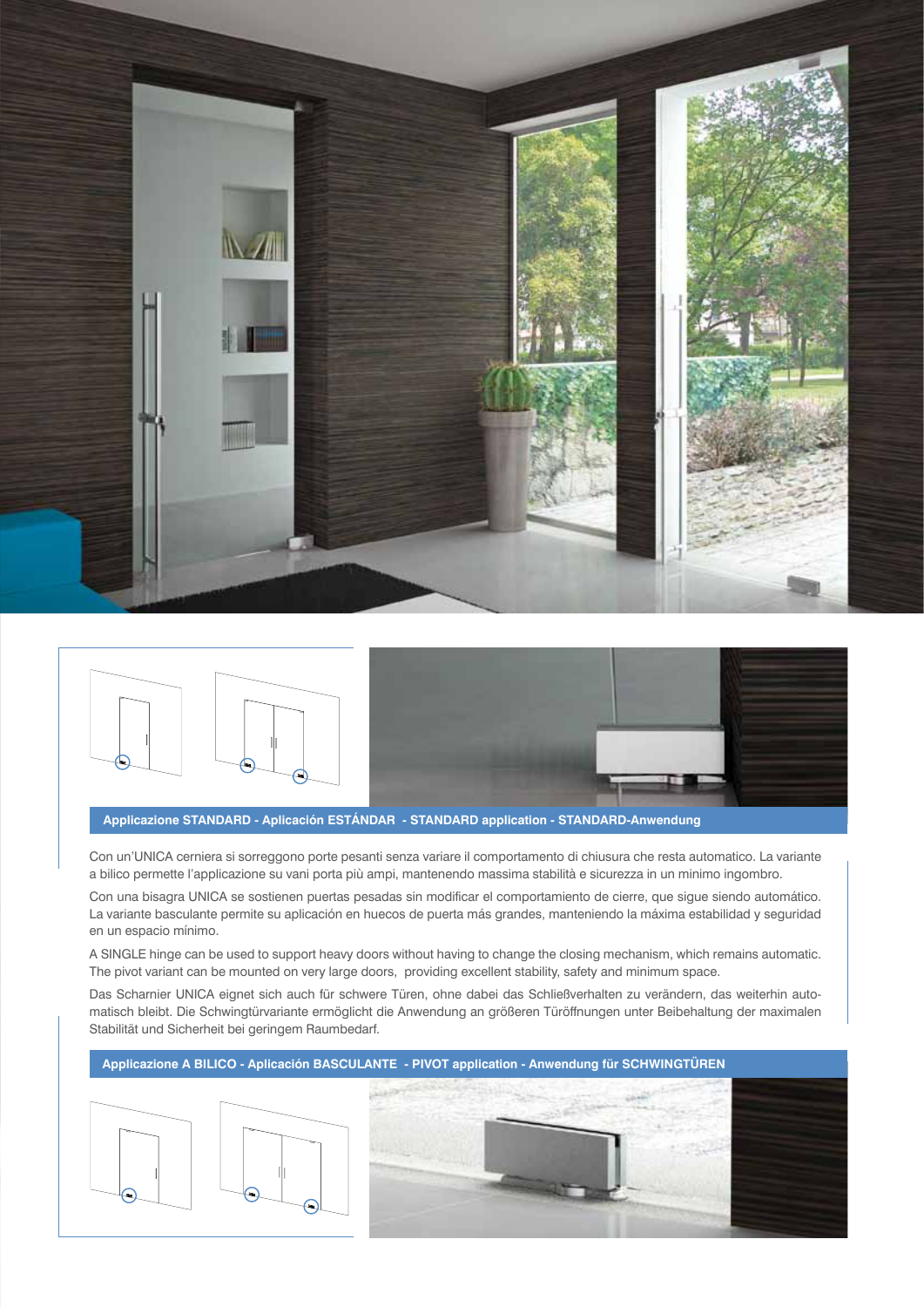





## **Applicazione STANDARD - Aplicación ESTÁNDAR - STANDARD application - STANDARD-Anwendung**

Con un'UNICA cerniera si sorreggono porte pesanti senza variare il comportamento di chiusura che resta automatico. La variante a bilico permette l'applicazione su vani porta più ampi, mantenendo massima stabilità e sicurezza in un minimo ingombro.

Con una bisagra UNICA se sostienen puertas pesadas sin modificar el comportamiento de cierre, que sigue siendo automático. La variante basculante permite su aplicación en huecos de puerta más grandes, manteniendo la máxima estabilidad y seguridad en un espacio mínimo.

A SINGLE hinge can be used to support heavy doors without having to change the closing mechanism, which remains automatic. The pivot variant can be mounted on very large doors, providing excellent stability, safety and minimum space.

Das Scharnier UNICA eignet sich auch für schwere Türen, ohne dabei das Schließverhalten zu verändern, das weiterhin automatisch bleibt. Die Schwingtürvariante ermöglicht die Anwendung an größeren Türöffnungen unter Beibehaltung der maximalen Stabilität und Sicherheit bei geringem Raumbedarf.

## **Applicazione A BILICO - Aplicación BASCULANTE - PIVOT application - Anwendung für SCHWINGTÜREN**